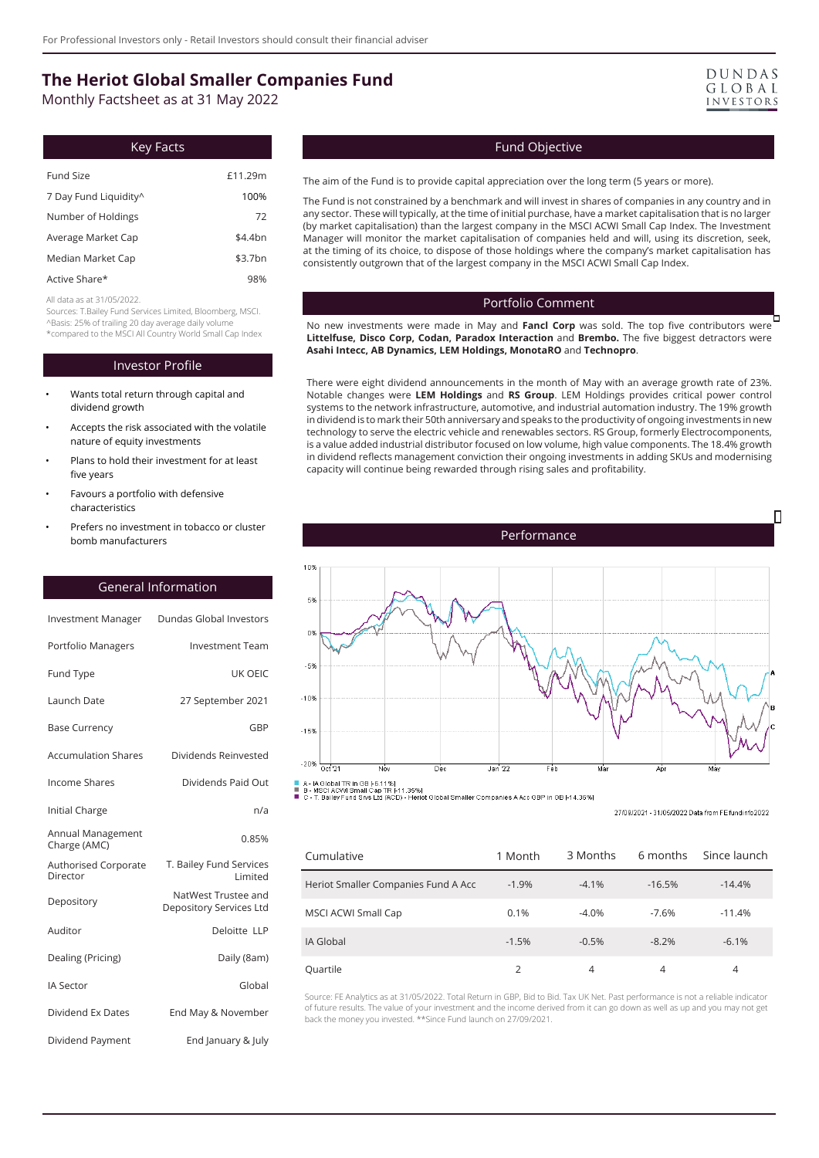# **The Heriot Global Smaller Companies Fund**

Monthly Factsheet as at 31 May 2022

| Key Facts             |           |
|-----------------------|-----------|
| Fund Size             | £11.29m   |
| 7 Day Fund Liquidity^ | 100%      |
| Number of Holdings    | 72        |
| Average Market Cap    | $$4.4$ bn |
| Median Market Cap     | \$3.7bn   |
| Active Share*         | 98%       |

All data as at 31/05/2022.

Sources: T.Bailey Fund Services Limited, Bloomberg, MSCI. ^Basis: 25% of trailing 20 day average daily volume \*compared to the MSCI All Country World Small Cap Index

#### Investor Profile

- Wants total return through capital and dividend growth
- Accepts the risk associated with the volatile nature of equity investments
- Plans to hold their investment for at least five years
- Favours a portfolio with defensive characteristics
- Prefers no investment in tobacco or cluster bomb manufacturers

# General Information

| <b>Investment Manager</b>         | Dundas Global Investors                        |
|-----------------------------------|------------------------------------------------|
| Portfolio Managers                | <b>Investment Team</b>                         |
| <b>Fund Type</b>                  | <b>UK OEIC</b>                                 |
| Launch Date                       | 27 September 2021                              |
| <b>Base Currency</b>              | GBP                                            |
| <b>Accumulation Shares</b>        | Dividends Reinvested                           |
| <b>Income Shares</b>              | Dividends Paid Out                             |
| Initial Charge                    | n/a                                            |
| Annual Management<br>Charge (AMC) | 0.85%                                          |
| Authorised Corporate<br>Director  | T. Bailey Fund Services<br>Limited             |
| Depository                        | NatWest Trustee and<br>Depository Services Ltd |
| Auditor                           | Deloitte LLP                                   |
| Dealing (Pricing)                 | Daily (8am)                                    |
| <b>IA Sector</b>                  | Global                                         |
| Dividend Ex Dates                 | End May & November                             |
| Dividend Payment                  | End January & July                             |



#### Fund Objective

The aim of the Fund is to provide capital appreciation over the long term (5 years or more).

The Fund is not constrained by a benchmark and will invest in shares of companies in any country and in any sector. These will typically, at the time of initial purchase, have a market capitalisation that is no larger (by market capitalisation) than the largest company in the MSCI ACWI Small Cap Index. The Investment Manager will monitor the market capitalisation of companies held and will, using its discretion, seek, at the timing of its choice, to dispose of those holdings where the company's market capitalisation has consistently outgrown that of the largest company in the MSCI ACWI Small Cap Index.

#### Portfolio Comment

b No new investments were made in May and **Fancl Corp** was sold. The top five contributors were **Littelfuse, Disco Corp, Codan, Paradox Interaction** and **Brembo.** The five biggest detractors were **Asahi Intecc, AB Dynamics, LEM Holdings, MonotaRO** and **Technopro**.

There were eight dividend announcements in the month of May with an average growth rate of 23%. Notable changes were **LEM Holdings** and **RS Group**. LEM Holdings provides critical power control systems to the network infrastructure, automotive, and industrial automation industry. The 19% growth in dividend is to mark their 50th anniversary and speaks to the productivity of ongoing investments in new technology to serve the electric vehicle and renewables sectors. RS Group, formerly Electrocomponents, is a value added industrial distributor focused on low volume, high value components. The 18.4% growth in dividend reflects management conviction their ongoing investments in adding SKUs and modernising capacity will continue being rewarded through rising sales and profitability.



27/09/2021 - 31/05/2022 Data from EE fundinfo2022

| Cumulative                          | 1 Month | 3 Months | 6 months | Since launch |
|-------------------------------------|---------|----------|----------|--------------|
| Heriot Smaller Companies Fund A Acc | $-1.9%$ | $-4.1%$  | $-16.5%$ | $-14.4%$     |
| MSCI ACWI Small Cap                 | 0.1%    | $-4.0%$  | $-7.6%$  | $-11.4%$     |
| IA Global                           | $-1.5%$ | $-0.5%$  | $-8.2%$  | $-6.1%$      |
| Quartile                            | っ       | 4        | 4        | 4            |

Source: FE Analytics as at 31/05/2022. Total Return in GBP, Bid to Bid. Tax UK Net. Past performance is not a reliable indicator of future results. The value of your investment and the income derived from it can go down as well as up and you may not get back the money you invested. \*\*Since Fund launch on 27/09/2021.